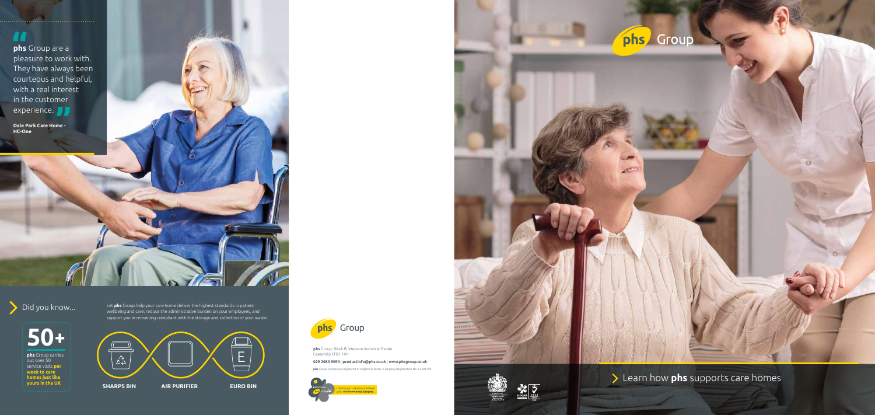## **TE**

**phs** Group are a pleasure to work with. They have always been courteous and helpful, with a real interest in the customer experience. **D** 

**Dale Park Care Home - HC-One**



phs Group



**phs** Group carries out over 50 service visits **per week to care homes just like yours in the UK**

Did you know... Let **phs** Group help your care home deliver the highest standards in patient wellbeing and care; reduce the administrative burden on your employees, and support you in remaining compliant with the storage and collection of your waste.

**phs** Group a company registered in England & Wales. Company Registration No. 05384799



# phs Group

 $\mathcal{L}^{\mathcal{C}}$ 





**Learn how phs** supports care homes

**phs** Group, Block B, Western Industrial Estate

#### Caerphilly CF83 1XH E **029 2080 9090** | **productinfo@phs.co.uk** | **www.phsgroup.co.uk**